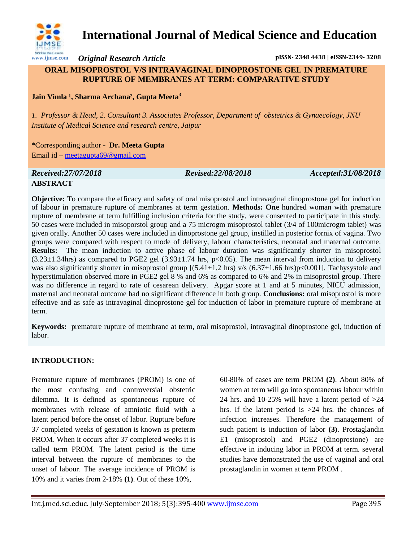

# **International Journal of Medical Science and Education**

*Original Research Article* **pISSN- 2348 4438 | eISSN-2349- 3208**

# **ORAL MISOPROSTOL V/S INTRAVAGINAL DINOPROSTONE GEL IN PREMATURE RUPTURE OF MEMBRANES AT TERM: COMPARATIVE STUDY**

**Jain Vimla <sup>1</sup>, Sharma Archana<sup>2</sup>, Gupta Meeta<sup>3</sup>** 

*1. Professor & Head, 2. Consultant 3. Associates Professor, Department of obstetrics & Gynaecology, JNU Institute of Medical Science and research centre, Jaipur*

\*Corresponding author - **Dr. Meeta Gupta** Email id – [meetagupta69@gmail.com](mailto:meetagupta69@gmail.com)

### *Received:27/07/2018 Revised:22/08/2018 Accepted:31/08/2018* **ABSTRACT**

**Objective:** To compare the efficacy and safety of oral misoprostol and intravaginal dinoprostone gel for induction of labour in premature rupture of membranes at term gestation. **Methods: One** hundred woman with premature rupture of membrane at term fulfilling inclusion criteria for the study, were consented to participate in this study. 50 cases were included in misoporstol group and a 75 microgm misoprostol tablet (3/4 of 100microgm tablet) was given orally. Another 50 cases were included in dinoprostone gel group, instilled in posterior fornix of vagina. Two groups were compared with respect to mode of delivery, labour characteristics, neonatal and maternal outcome. **Results:** The mean induction to active phase of labour duration was significantly shorter in misoprostol  $(3.23\pm1.34)$ hrs) as compared to PGE2 gel  $(3.93\pm1.74)$  hrs, p<0.05). The mean interval from induction to delivery was also significantly shorter in misoprostol group  $[(5.41\pm1.2 \text{ hrs}) \text{ v/s } (6.37\pm1.66 \text{ hrs})\text{p} < 0.001]$ . Tachysystole and hyperstimulation observed more in PGE2 gel 8 % and 6% as compared to 6% and 2% in misoprostol group. There was no difference in regard to rate of cesarean delivery. Apgar score at 1 and at 5 minutes, NICU admission, maternal and neonatal outcome had no significant difference in both group. **Conclusions:** oral misoprostol is more effective and as safe as intravaginal dinoprostone gel for induction of labor in premature rupture of membrane at term.

**Keywords:** premature rupture of membrane at term, oral misoprostol, intravaginal dinoprostone gel, induction of labor.

# **INTRODUCTION:**

Premature rupture of membranes (PROM) is one of the most confusing and controversial obstetric dilemma. It is defined as spontaneous rupture of membranes with release of amniotic fluid with a latent period before the onset of labor. Rupture before 37 completed weeks of gestation is known as preterm PROM. When it occurs after 37 completed weeks it is called term PROM. The latent period is the time interval between the rupture of membranes to the onset of labour. The average incidence of PROM is 10% and it varies from 2-18% **(1)**. Out of these 10%,

60-80% of cases are term PROM **(2)**. About 80% of women at term will go into spontaneous labour within 24 hrs. and 10-25% will have a latent period of  $>24$ hrs. If the latent period is  $>24$  hrs. the chances of infection increases. Therefore the management of such patient is induction of labor **(3)**. Prostaglandin E1 (misoprostol) and PGE2 (dinoprostone) are effective in inducing labor in PROM at term. several studies have demonstrated the use of vaginal and oral prostaglandin in women at term PROM .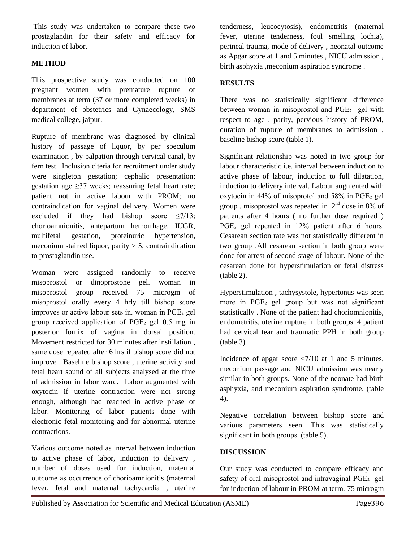This study was undertaken to compare these two prostaglandin for their safety and efficacy for induction of labor.

# **METHOD**

This prospective study was conducted on 100 pregnant women with premature rupture of membranes at term (37 or more completed weeks) in department of obstetrics and Gynaecology, SMS medical college, jaipur.

Rupture of membrane was diagnosed by clinical history of passage of liquor, by per speculum examination , by palpation through cervical canal, by fern test . Inclusion citeria for recruitment under study were singleton gestation; cephalic presentation; gestation age  $\geq$ 37 weeks; reassuring fetal heart rate; patient not in active labour with PROM; no contraindication for vaginal delivery. Women were excluded if they had bishop score  $\leq$ 7/13; chorioamnionitis, antepartum hemorrhage, IUGR, multifetal gestation, proteinuric hypertension, meconium stained liquor, parity  $> 5$ , contraindication to prostaglandin use.

Woman were assigned randomly to receive misoprostol or dinoprostone gel. woman in misoprostol group received 75 microgm of misoprostol orally every 4 hrly till bishop score improves or active labour sets in. woman in PGE₂ gel group received application of PGE₂ gel 0.5 mg in posterior fornix of vagina in dorsal position. Movement restricted for 30 minutes after instillation , same dose repeated after 6 hrs if bishop score did not improve . Baseline bishop score , uterine activity and fetal heart sound of all subjects analysed at the time of admission in labor ward. Labor augmented with oxytocin if uterine contraction were not strong enough, although had reached in active phase of labor. Monitoring of labor patients done with electronic fetal monitoring and for abnormal uterine contractions.

Various outcome noted as interval between induction to active phase of labor, induction to delivery , number of doses used for induction, maternal outcome as occurrence of chorioamnionitis (maternal fever, fetal and maternal tachycardia , uterine

tenderness, leucocytosis), endometritis (maternal fever, uterine tenderness, foul smelling lochia), perineal trauma, mode of delivery , neonatal outcome as Apgar score at 1 and 5 minutes , NICU admission , birth asphyxia ,meconium aspiration syndrome .

## **RESULTS**

There was no statistically significant difference between woman in misoprostol and PGE<sub>2</sub> gel with respect to age , parity, pervious history of PROM, duration of rupture of membranes to admission , baseline bishop score (table 1).

Significant relationship was noted in two group for labour characteristic i.e. interval between induction to active phase of labour, induction to full dilatation, induction to delivery interval. Labour augmented with oxytocin in 44% of misoprotol and 58% in PGE₂ gel group . misoprostol was repeated in  $2<sup>nd</sup>$  dose in 8% of patients after 4 hours ( no further dose required ) PGE<sub>2</sub> gel repeated in 12% patient after 6 hours. Cesarean section rate was not statistically different in two group .All cesarean section in both group were done for arrest of second stage of labour. None of the cesarean done for hyperstimulation or fetal distress (table 2).

Hyperstimulation , tachysystole, hypertonus was seen more in PGE<sub>2</sub> gel group but was not significant statistically . None of the patient had choriomnionitis, endometritis, uterine rupture in both groups. 4 patient had cervical tear and traumatic PPH in both group (table 3)

Incidence of apgar score  $\langle 7/10 \text{ at } 1 \text{ and } 5 \text{ minutes} \rangle$ , meconium passage and NICU admission was nearly similar in both groups. None of the neonate had birth asphyxia, and meconium aspiration syndrome. (table 4).

Negative correlation between bishop score and various parameters seen. This was statistically significant in both groups. (table 5).

#### **DISCUSSION**

Our study was conducted to compare efficacy and safety of oral misoprostol and intravaginal PGE<sub>2</sub> gel for induction of labour in PROM at term. 75 microgm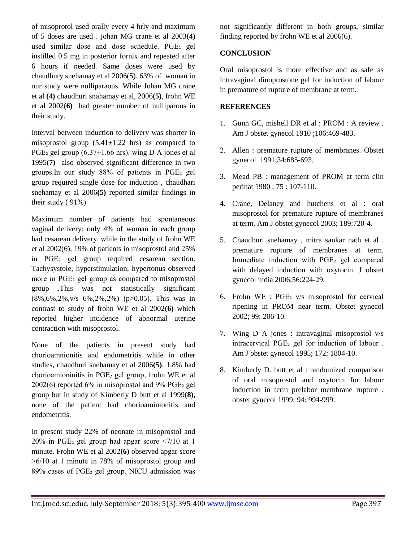of misoprotol used orally every 4 hrly and maximum of 5 doses are used . johan MG crane et al 2003**(4)** used similar dose and dose schedule. PGE2 gel instilled 0.5 mg in posterior fornix and repeated after 6 hours if needed. Same doses were used by chaudhury snehamay et al 2006(5). 63% of woman in our study were nulliparaous. While Johan MG crane et al **(4)** chaudhuri snahamay et al, 2006**(5)**, frohn WE et al 2002**(6)** had greater number of nulliparous in their study.

Interval between induction to delivery was shorter in misoprostol group  $(5.41 \pm 1.22 \text{ hrs})$  as compared to PGE<sub>2</sub> gel group  $(6.37\pm1.66$  hrs). wing D A jones et al 1995**(7)** also observed significant difference in two groups.In our study 88% of patients in PGE₂ gel group required single dose for induction , chaudhari snehamay et al 2006**(5)** reported similar findings in their study ( 91%).

Maximum number of patients had spontaneous vaginal delivery: only 4% of woman in each group had cesarean delivery. while in the study of frohn WE et al 2002(6), 19% of patients in misoprostol and 25% in PGE₂ gel group required cesarean section. Tachysystole, hyperstimulation, hypertonus observed more in PGE<sub>2</sub> gel group as compared to misoprostol group .This was not statistically significant (8%,6%,2%,v/s 6%,2%,2%) (p>0.05). This was in contrast to study of frohn WE et al 2002**(6)** which reported higher incidence of abnormal uterine contraction with misoprostol.

None of the patients in present study had chorioamnionitis and endometritis while in other studies, chaudhuri snehamay et al 2006**(5)**, 1.8% had chorioamioninitis in PGE₂ gel group, frohn WE et al  $2002(6)$  reported 6% in misoprostol and 9% PGE<sub>2</sub> gel group but in study of Kimberly D butt et al 1999**(8)**, none of the patient had chorioaminionitis and endometritis.

In present study 22% of neonate in misoprostol and  $20\%$  in PGE<sub>2</sub> gel group had apgar score  $\leq$ 7/10 at 1 minute. Frohn WE et al 2002**(6)** observed apgar score  $>6/10$  at 1 minute in 78% of misoprostol group and 89% cases of PGE₂ gel group. NICU admission was not significantly different in both groups, similar finding reported by frohn WE et al 2006(6).

## **CONCLUSION**

Oral misoprostol is more effective and as safe as intravaginal dinoprostone gel for induction of labour in premature of rupture of membrane at term.

#### **REFERENCES**

- 1. Gunn GC, mishell DR et al : PROM : A review . Am J obstet gynecol 1910 ;106:469-483.
- 2. Allen : premature rupture of membranes. Obstet gynecol 1991;34:685-693.
- 3. Mead PB : management of PROM at term clin perinat 1980 ; 75 : 107-110.
- 4. Crane, Delaney and hutchens et al : oral misoprostol for premature rupture of membranes at term. Am J obstet gynecol 2003; 189:720-4.
- 5. Chaudhuri snehamay , mitra sankar nath et al . premature rupture of membranes at term. Immediate induction with PGE<sub>2</sub> gel compared with delayed induction with oxytocin. J obstet gynecol india 2006;56:224-29.
- 6. Frohn WE : PGE₂ v/s misoprostol for cervical ripening in PROM near term. Obstet gynecol 2002; 99: 206-10.
- 7. Wing D A jones : intravaginal misoprostol v/s intracervical PGE₂ gel for induction of labour . Am J obstet gynecol 1995; 172: 1804-10.
- 8. Kimberly D. butt et al : randomized comparison of oral misoprostol and oxytocin for labour induction in term prelabor membrane rupture . obstet gynecol 1999; 94: 994-999.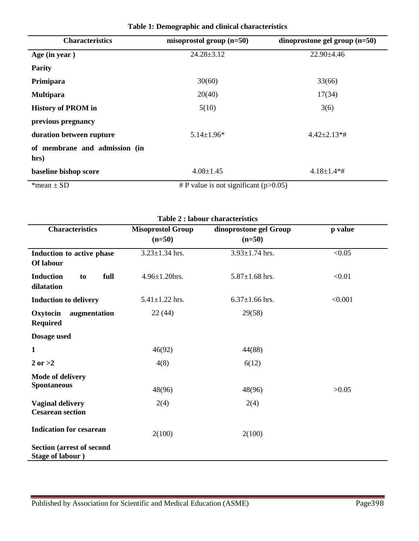| <b>Characteristics</b>                | misoprostol group $(n=50)$                  | dinoprostone gel group $(n=50)$ |
|---------------------------------------|---------------------------------------------|---------------------------------|
| Age (in year)                         | $24.28 \pm 3.12$                            | $22.90 \pm 4.46$                |
| <b>Parity</b>                         |                                             |                                 |
| Primipara                             | 30(60)                                      | 33(66)                          |
| <b>Multipara</b>                      | 20(40)                                      | 17(34)                          |
| <b>History of PROM in</b>             | 5(10)                                       | 3(6)                            |
| previous pregnancy                    |                                             |                                 |
| duration between rupture              | $5.14 \pm 1.96*$                            | $4.42 \pm 2.13* \#$             |
| of membrane and admission (in<br>hrs) |                                             |                                 |
| baseline bishop score                 | $4.08 \pm 1.45$                             | $4.18 \pm 1.4*$ #               |
| *mean $\pm$ SD                        | # P value is not significant ( $p > 0.05$ ) |                                 |

**Table 1: Demographic and clinical characteristics**

| <b>Table 2: labour characteristics</b>                        |                                      |                                    |         |  |
|---------------------------------------------------------------|--------------------------------------|------------------------------------|---------|--|
| <b>Characteristics</b>                                        | <b>Misoprostol Group</b><br>$(n=50)$ | dinoprostone gel Group<br>$(n=50)$ | p value |  |
| Induction to active phase<br>Of labour                        | $3.23 \pm 1.34$ hrs.                 | $3.93 \pm 1.74$ hrs.               | < 0.05  |  |
| <b>Induction</b><br>full<br>to<br>dilatation                  | $4.96 \pm 1.20$ hrs.                 | $5.87 \pm 1.68$ hrs.               | < 0.01  |  |
| <b>Induction to delivery</b>                                  | $5.41 \pm 1.22$ hrs.                 | $6.37 \pm 1.66$ hrs.               | < 0.001 |  |
| Oxytocin<br>augmentation<br><b>Required</b>                   | 22(44)                               | 29(58)                             |         |  |
| Dosage used                                                   |                                      |                                    |         |  |
| 1                                                             | 46(92)                               | 44(88)                             |         |  |
| $2 \text{ or } >2$                                            | 4(8)                                 | 6(12)                              |         |  |
| <b>Mode of delivery</b><br><b>Spontaneous</b>                 | 48(96)                               | 48(96)                             | >0.05   |  |
| <b>Vaginal delivery</b><br><b>Cesarean section</b>            | 2(4)                                 | 2(4)                               |         |  |
| <b>Indication for cesarean</b>                                | 2(100)                               | 2(100)                             |         |  |
| <b>Section (arrest of second)</b><br><b>Stage of labour</b> ) |                                      |                                    |         |  |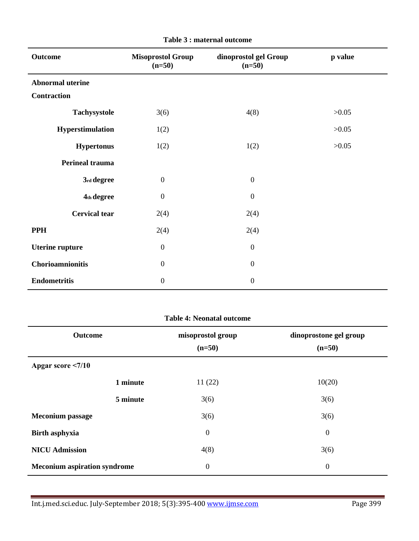| <b>Outcome</b>          | <b>Misoprostol Group</b><br>$(n=50)$ | dinoprostol gel Group<br>$(n=50)$ |       |
|-------------------------|--------------------------------------|-----------------------------------|-------|
| <b>Abnormal uterine</b> |                                      |                                   |       |
| <b>Contraction</b>      |                                      |                                   |       |
| Tachysystole            | 3(6)                                 | 4(8)                              | >0.05 |
| Hyperstimulation        | 1(2)                                 |                                   | >0.05 |
| <b>Hypertonus</b>       | 1(2)                                 | 1(2)                              | >0.05 |
| <b>Perineal trauma</b>  |                                      |                                   |       |
| 3rd degree              | $\boldsymbol{0}$                     | $\boldsymbol{0}$                  |       |
| 4th degree              | $\boldsymbol{0}$                     | $\boldsymbol{0}$                  |       |
| <b>Cervical tear</b>    | 2(4)                                 | 2(4)                              |       |
| <b>PPH</b>              | 2(4)                                 | 2(4)                              |       |
| <b>Uterine rupture</b>  | $\boldsymbol{0}$                     | $\boldsymbol{0}$                  |       |
| Chorioamnionitis        | $\mathbf{0}$                         | $\boldsymbol{0}$                  |       |
| <b>Endometritis</b>     | $\boldsymbol{0}$                     | $\boldsymbol{0}$                  |       |

|  |  |  | Table 3 : maternal outcome |
|--|--|--|----------------------------|
|--|--|--|----------------------------|

| <b>Table 4: Neonatal outcome</b>    |                               |                                    |  |  |  |
|-------------------------------------|-------------------------------|------------------------------------|--|--|--|
| Outcome                             | misoprostol group<br>$(n=50)$ | dinoprostone gel group<br>$(n=50)$ |  |  |  |
| Apgar score <7/10                   |                               |                                    |  |  |  |
| 1 minute                            | 11(22)                        | 10(20)                             |  |  |  |
| 5 minute                            | 3(6)                          | 3(6)                               |  |  |  |
| <b>Meconium</b> passage             | 3(6)                          | 3(6)                               |  |  |  |
| <b>Birth asphyxia</b>               | $\boldsymbol{0}$              | $\boldsymbol{0}$                   |  |  |  |
| <b>NICU Admission</b>               | 4(8)                          | 3(6)                               |  |  |  |
| <b>Meconium aspiration syndrome</b> | $\boldsymbol{0}$              | $\boldsymbol{0}$                   |  |  |  |